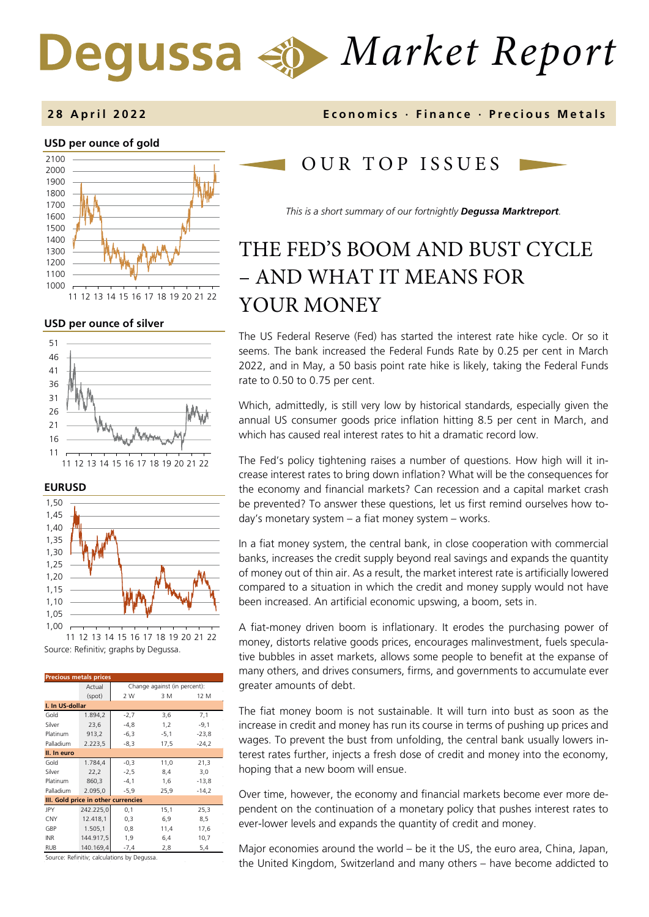# *Market Report* Degussa

#### **USD per ounce of gold**  1000 1100 1200 1300 1400 1500 1600 1700 1800 1900 2000 2100 11 12 13 14 15 16 17 18 19 20 21 22



**EURUSD**



Source: Refinitiv; graphs by Degussa. 11 12 13 14 15 16 17 18 19 20 21 22

| <b>Precious metals prices</b>       |           |                              |        |         |  |
|-------------------------------------|-----------|------------------------------|--------|---------|--|
|                                     | Actual    | Change against (in percent): |        |         |  |
|                                     | (spot)    | 2 W                          | 3 M    | 12 M    |  |
| I. In US-dollar                     |           |                              |        |         |  |
| Gold                                | 1.894,2   | $-2,7$                       | 3,6    | 7,1     |  |
| Silver                              | 23,6      | $-4,8$                       | 1,2    | $-9,1$  |  |
| Platinum                            | 913,2     | $-6,3$                       | $-5,1$ | $-23,8$ |  |
| Palladium                           | 2.223,5   | $-8,3$                       | 17,5   | $-24,2$ |  |
| II. In euro                         |           |                              |        |         |  |
| Gold                                | 1.784,4   | $-0,3$                       | 11,0   | 21,3    |  |
| Silver                              | 22,2      | $-2,5$                       | 8,4    | 3,0     |  |
| Platinum                            | 860,3     | $-4,1$                       | 1,6    | $-13,8$ |  |
| Palladium                           | 2.095,0   | $-5,9$                       | 25,9   | $-14,2$ |  |
| III. Gold price in other currencies |           |                              |        |         |  |
| JPY                                 | 242.225,0 | 0,1                          | 15,1   | 25,3    |  |
| <b>CNY</b>                          | 12.418,1  | 0,3                          | 6,9    | 8,5     |  |
| GBP                                 | 1.505,1   | 0,8                          | 11,4   | 17,6    |  |
| <b>INR</b>                          | 144.917,5 | 1,9                          | 6,4    | 10,7    |  |
| <b>RUB</b>                          | 140.169,4 | $-7,4$                       | 2,8    | 5,4     |  |

Source: Refinitiv; calculations by Degussa.

### **2 8 April 202 2 Economics · Finance · Precious Metals**

## OUR TOP ISSUE S

*This is a short summary of our fortnightly Degussa Marktreport.*

# THE FED'S BOOM AND BUST CYCLE – AND WHAT IT MEANS FOR YOUR MONEY

The US Federal Reserve (Fed) has started the interest rate hike cycle. Or so it seems. The bank increased the Federal Funds Rate by 0.25 per cent in March 2022, and in May, a 50 basis point rate hike is likely, taking the Federal Funds rate to 0.50 to 0.75 per cent.

Which, admittedly, is still very low by historical standards, especially given the annual US consumer goods price inflation hitting 8.5 per cent in March, and which has caused real interest rates to hit a dramatic record low.

The Fed's policy tightening raises a number of questions. How high will it increase interest rates to bring down inflation? What will be the consequences for the economy and financial markets? Can recession and a capital market crash be prevented? To answer these questions, let us first remind ourselves how today's monetary system – a fiat money system – works.

In a fiat money system, the central bank, in close cooperation with commercial banks, increases the credit supply beyond real savings and expands the quantity of money out of thin air. As a result, the market interest rate is artificially lowered compared to a situation in which the credit and money supply would not have been increased. An artificial economic upswing, a boom, sets in.

A fiat-money driven boom is inflationary. It erodes the purchasing power of money, distorts relative goods prices, encourages malinvestment, fuels speculative bubbles in asset markets, allows some people to benefit at the expanse of many others, and drives consumers, firms, and governments to accumulate ever greater amounts of debt.

The fiat money boom is not sustainable. It will turn into bust as soon as the increase in credit and money has run its course in terms of pushing up prices and wages. To prevent the bust from unfolding, the central bank usually lowers interest rates further, injects a fresh dose of credit and money into the economy, hoping that a new boom will ensue.

Over time, however, the economy and financial markets become ever more dependent on the continuation of a monetary policy that pushes interest rates to ever-lower levels and expands the quantity of credit and money.

Major economies around the world – be it the US, the euro area, China, Japan, the United Kingdom, Switzerland and many others – have become addicted to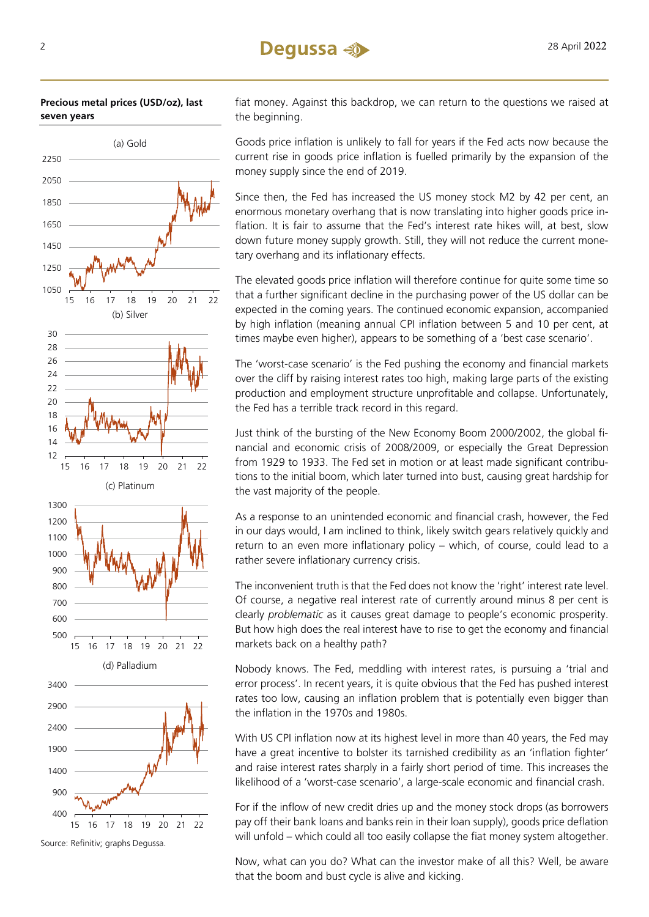



Source: Refinitiv; graphs Degussa.

fiat money. Against this backdrop, we can return to the questions we raised at the beginning.

Goods price inflation is unlikely to fall for years if the Fed acts now because the current rise in goods price inflation is fuelled primarily by the expansion of the money supply since the end of 2019.

Since then, the Fed has increased the US money stock M2 by 42 per cent, an enormous monetary overhang that is now translating into higher goods price inflation. It is fair to assume that the Fed's interest rate hikes will, at best, slow down future money supply growth. Still, they will not reduce the current monetary overhang and its inflationary effects.

The elevated goods price inflation will therefore continue for quite some time so that a further significant decline in the purchasing power of the US dollar can be expected in the coming years. The continued economic expansion, accompanied by high inflation (meaning annual CPI inflation between 5 and 10 per cent, at times maybe even higher), appears to be something of a 'best case scenario'.

The 'worst-case scenario' is the Fed pushing the economy and financial markets over the cliff by raising interest rates too high, making large parts of the existing production and employment structure unprofitable and collapse. Unfortunately, the Fed has a terrible track record in this regard.

Just think of the bursting of the New Economy Boom 2000/2002, the global financial and economic crisis of 2008/2009, or especially the Great Depression from 1929 to 1933. The Fed set in motion or at least made significant contributions to the initial boom, which later turned into bust, causing great hardship for the vast majority of the people.

As a response to an unintended economic and financial crash, however, the Fed in our days would, I am inclined to think, likely switch gears relatively quickly and return to an even more inflationary policy – which, of course, could lead to a rather severe inflationary currency crisis.

The inconvenient truth is that the Fed does not know the 'right' interest rate level. Of course, a negative real interest rate of currently around minus 8 per cent is clearly *problematic* as it causes great damage to people's economic prosperity. But how high does the real interest have to rise to get the economy and financial markets back on a healthy path?

Nobody knows. The Fed, meddling with interest rates, is pursuing a 'trial and error process'. In recent years, it is quite obvious that the Fed has pushed interest rates too low, causing an inflation problem that is potentially even bigger than the inflation in the 1970s and 1980s.

With US CPI inflation now at its highest level in more than 40 years, the Fed may have a great incentive to bolster its tarnished credibility as an 'inflation fighter' and raise interest rates sharply in a fairly short period of time. This increases the likelihood of a 'worst-case scenario', a large-scale economic and financial crash.

For if the inflow of new credit dries up and the money stock drops (as borrowers pay off their bank loans and banks rein in their loan supply), goods price deflation will unfold – which could all too easily collapse the fiat money system altogether.

Now, what can you do? What can the investor make of all this? Well, be aware that the boom and bust cycle is alive and kicking.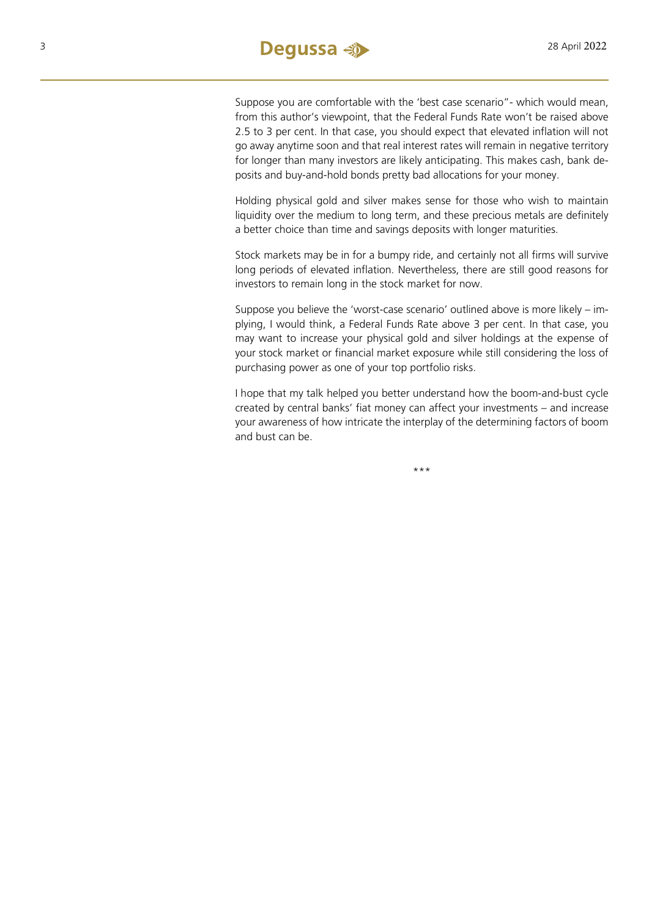

Suppose you are comfortable with the 'best case scenario"- which would mean, from this author's viewpoint, that the Federal Funds Rate won't be raised above 2.5 to 3 per cent. In that case, you should expect that elevated inflation will not go away anytime soon and that real interest rates will remain in negative territory for longer than many investors are likely anticipating. This makes cash, bank deposits and buy-and-hold bonds pretty bad allocations for your money.

Holding physical gold and silver makes sense for those who wish to maintain liquidity over the medium to long term, and these precious metals are definitely a better choice than time and savings deposits with longer maturities.

Stock markets may be in for a bumpy ride, and certainly not all firms will survive long periods of elevated inflation. Nevertheless, there are still good reasons for investors to remain long in the stock market for now.

Suppose you believe the 'worst-case scenario' outlined above is more likely – implying, I would think, a Federal Funds Rate above 3 per cent. In that case, you may want to increase your physical gold and silver holdings at the expense of your stock market or financial market exposure while still considering the loss of purchasing power as one of your top portfolio risks.

I hope that my talk helped you better understand how the boom-and-bust cycle created by central banks' fiat money can affect your investments – and increase your awareness of how intricate the interplay of the determining factors of boom and bust can be.

\*\*\*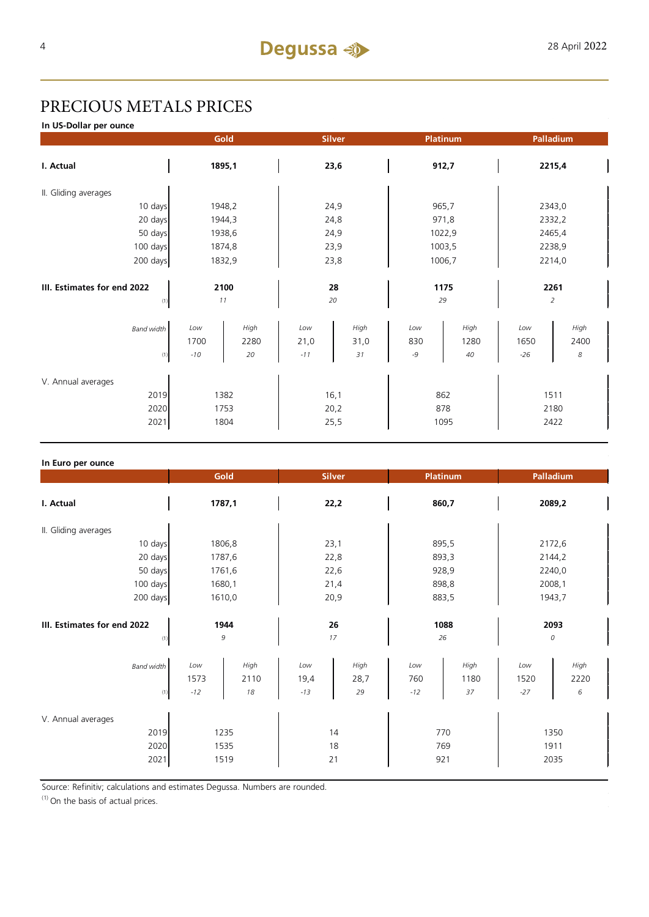# PRECIOUS METALS PRICES

**In US-Dollar per ounce**

|                                            | Gold                 |                    |                      | <b>Silver</b>        | Platinum           |                    |                      | Palladium              |
|--------------------------------------------|----------------------|--------------------|----------------------|----------------------|--------------------|--------------------|----------------------|------------------------|
| I. Actual                                  | 1895,1               |                    | 23,6                 |                      | 912,7              |                    | 2215,4               |                        |
| II. Gliding averages                       |                      |                    |                      |                      |                    |                    |                      |                        |
| 10 days                                    | 1948,2               |                    |                      | 24,9                 | 965,7              |                    |                      | 2343,0                 |
| 20 days                                    | 1944,3               |                    | 24,8                 |                      | 971,8              |                    | 2332,2               |                        |
| 50 days                                    | 1938,6               |                    | 24,9                 |                      | 1022,9             |                    | 2465,4               |                        |
| 100 days                                   | 1874,8               |                    | 23,9                 |                      | 1003,5             |                    | 2238,9               |                        |
| 200 days                                   | 1832,9               |                    |                      | 23,8                 | 1006,7             |                    |                      | 2214,0                 |
| III. Estimates for end 2022<br>(1)         | 2100<br>11           |                    |                      | 28<br>20             | 29                 | 1175               |                      | 2261<br>$\overline{a}$ |
| <b>Band width</b><br>(1)                   | Low<br>1700<br>$-10$ | High<br>2280<br>20 | Low<br>21,0<br>$-11$ | High<br>31,0<br>31   | Low<br>830<br>$-9$ | High<br>1280<br>40 | Low<br>1650<br>$-26$ | High<br>2400<br>8      |
| V. Annual averages<br>2019<br>2020<br>2021 | 1753<br>1804         | 1382               |                      | 16,1<br>20,2<br>25,5 | 862<br>878         | 1095               |                      | 1511<br>2180<br>2422   |

| In Euro per ounce                          |                                            |                                            |                                           |                                           |  |
|--------------------------------------------|--------------------------------------------|--------------------------------------------|-------------------------------------------|-------------------------------------------|--|
|                                            | Gold                                       | <b>Silver</b>                              | Platinum                                  | Palladium                                 |  |
| I. Actual                                  | 1787,1                                     | 22,2                                       | 860,7                                     | 2089,2                                    |  |
| II. Gliding averages                       |                                            |                                            |                                           |                                           |  |
| 10 days                                    | 1806,8                                     | 23,1                                       | 895,5                                     | 2172,6                                    |  |
| 20 days                                    | 1787,6                                     | 22,8                                       | 893,3                                     | 2144,2                                    |  |
| 50 days                                    | 1761,6                                     | 22,6                                       | 928,9                                     | 2240,0                                    |  |
| 100 days                                   | 1680,1                                     | 21,4                                       | 898,8                                     | 2008,1                                    |  |
| 200 days                                   | 1610,0                                     | 20,9                                       | 883,5                                     | 1943,7                                    |  |
| III. Estimates for end 2022<br>(1)         | 1944<br>$\mathcal G$                       | 26<br>17                                   | 1088<br>26                                | 2093<br>0                                 |  |
| <b>Band width</b><br>(1)                   | Low<br>High<br>1573<br>2110<br>$-12$<br>18 | High<br>Low<br>19,4<br>28,7<br>$-13$<br>29 | High<br>Low<br>760<br>1180<br>$-12$<br>37 | High<br>Low<br>2220<br>1520<br>6<br>$-27$ |  |
| V. Annual averages<br>2019<br>2020<br>2021 | 1235<br>1535<br>1519                       | 14<br>18<br>21                             | 770<br>769<br>921                         | 1350<br>1911<br>2035                      |  |

Source: Refinitiv; calculations and estimates Degussa. Numbers are rounded.

 $(1)$  On the basis of actual prices.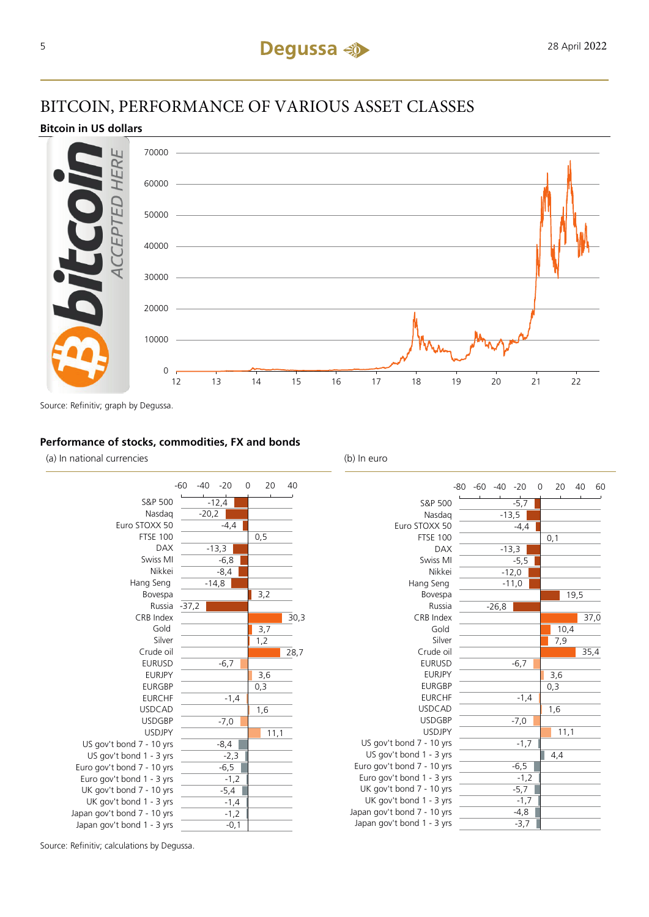## BITCOIN, PERFORMANCE OF VARIOUS ASSET CLASSES

#### **Bitcoin in US dollars**



Source: Refinitiv; graph by Degussa.

#### **Performance of stocks, commodities, FX and bonds**

(a) In national currencies (b) In euro





-5,7 -13,5 -4,4

-13,3 -5,5  $-12,0$ -11,0

 $-6,7$ 

 $-1,4$ 

 $-7,0$ 

 $-1,7$ 

 $-6,5$  $-1,2$  $-5,7$  $-1,7$  $-4,8$  $-3.7$ 

0,1

19,5

10,4 7,9

3,6 0,3

1,6

4,4

 $11,1$ 

37,0

35,4

Source: Refinitiv; calculations by Degussa.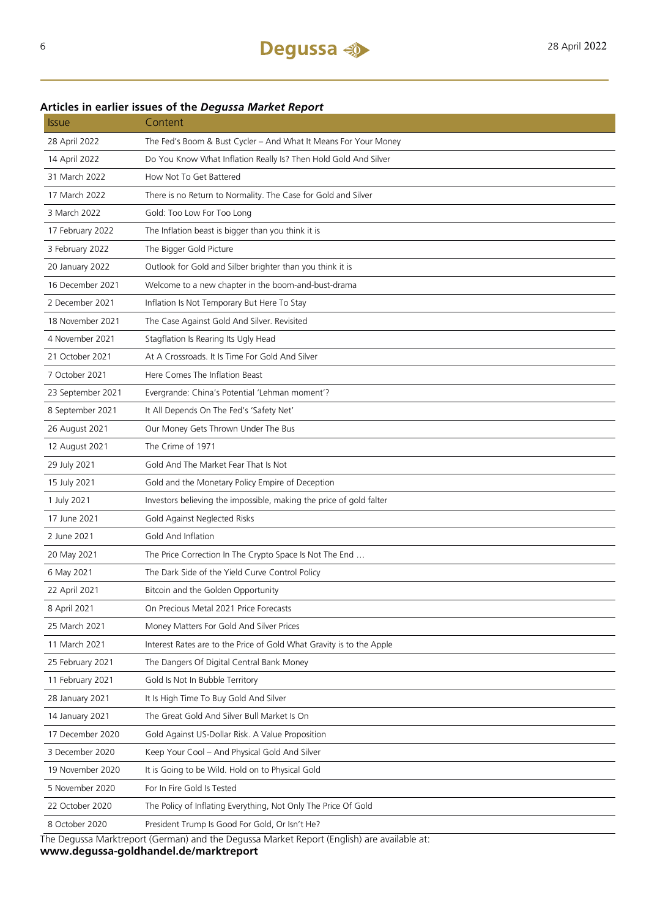### **Articles in earlier issues of the** *Degussa Market Report*

| <b>Issue</b>      | Content                                                                                   |
|-------------------|-------------------------------------------------------------------------------------------|
| 28 April 2022     | The Fed's Boom & Bust Cycler - And What It Means For Your Money                           |
| 14 April 2022     | Do You Know What Inflation Really Is? Then Hold Gold And Silver                           |
| 31 March 2022     | How Not To Get Battered                                                                   |
| 17 March 2022     | There is no Return to Normality. The Case for Gold and Silver                             |
| 3 March 2022      | Gold: Too Low For Too Long                                                                |
| 17 February 2022  | The Inflation beast is bigger than you think it is                                        |
| 3 February 2022   | The Bigger Gold Picture                                                                   |
| 20 January 2022   | Outlook for Gold and Silber brighter than you think it is                                 |
| 16 December 2021  | Welcome to a new chapter in the boom-and-bust-drama                                       |
| 2 December 2021   | Inflation Is Not Temporary But Here To Stay                                               |
| 18 November 2021  | The Case Against Gold And Silver. Revisited                                               |
| 4 November 2021   | Stagflation Is Rearing Its Ugly Head                                                      |
| 21 October 2021   | At A Crossroads. It Is Time For Gold And Silver                                           |
| 7 October 2021    | Here Comes The Inflation Beast                                                            |
| 23 September 2021 | Evergrande: China's Potential 'Lehman moment'?                                            |
| 8 September 2021  | It All Depends On The Fed's 'Safety Net'                                                  |
| 26 August 2021    | Our Money Gets Thrown Under The Bus                                                       |
| 12 August 2021    | The Crime of 1971                                                                         |
| 29 July 2021      | Gold And The Market Fear That Is Not                                                      |
| 15 July 2021      | Gold and the Monetary Policy Empire of Deception                                          |
| 1 July 2021       | Investors believing the impossible, making the price of gold falter                       |
| 17 June 2021      | Gold Against Neglected Risks                                                              |
| 2 June 2021       | Gold And Inflation                                                                        |
| 20 May 2021       | The Price Correction In The Crypto Space Is Not The End                                   |
| 6 May 2021        | The Dark Side of the Yield Curve Control Policy                                           |
| 22 April 2021     | Bitcoin and the Golden Opportunity                                                        |
| 8 April 2021      | On Precious Metal 2021 Price Forecasts                                                    |
| 25 March 2021     | Money Matters For Gold And Silver Prices                                                  |
| 11 March 2021     | Interest Rates are to the Price of Gold What Gravity is to the Apple                      |
| 25 February 2021  | The Dangers Of Digital Central Bank Money                                                 |
| 11 February 2021  | Gold Is Not In Bubble Territory                                                           |
| 28 January 2021   | It Is High Time To Buy Gold And Silver                                                    |
| 14 January 2021   | The Great Gold And Silver Bull Market Is On                                               |
| 17 December 2020  | Gold Against US-Dollar Risk. A Value Proposition                                          |
| 3 December 2020   | Keep Your Cool - And Physical Gold And Silver                                             |
| 19 November 2020  | It is Going to be Wild. Hold on to Physical Gold                                          |
| 5 November 2020   | For In Fire Gold Is Tested                                                                |
| 22 October 2020   | The Policy of Inflating Everything, Not Only The Price Of Gold                            |
| 8 October 2020    | President Trump Is Good For Gold, Or Isn't He?                                            |
|                   | The Deques Marktropert (German) and the Dequese Market Pepert (English) are available at: |

The Degussa Marktreport (German) and the Degussa Market Report (English) are available at: **www.degussa-goldhandel.de/marktreport**